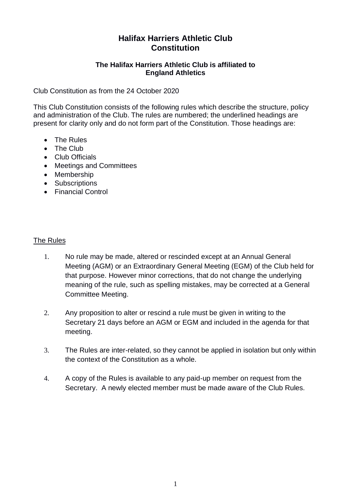# **Halifax Harriers Athletic Club Constitution**

#### **The Halifax Harriers Athletic Club is affiliated to England Athletics**

Club Constitution as from the 24 October 2020

This Club Constitution consists of the following rules which describe the structure, policy and administration of the Club. The rules are numbered; the underlined headings are present for clarity only and do not form part of the Constitution. Those headings are:

- The Rules
- The Club
- Club Officials
- Meetings and Committees
- Membership
- Subscriptions
- Financial Control

#### The Rules

- 1. No rule may be made, altered or rescinded except at an Annual General Meeting (AGM) or an Extraordinary General Meeting (EGM) of the Club held for that purpose. However minor corrections, that do not change the underlying meaning of the rule, such as spelling mistakes, may be corrected at a General Committee Meeting.
- 2. Any proposition to alter or rescind a rule must be given in writing to the Secretary 21 days before an AGM or EGM and included in the agenda for that meeting.
- 3. The Rules are inter-related, so they cannot be applied in isolation but only within the context of the Constitution as a whole.
- 4. A copy of the Rules is available to any paid-up member on request from the Secretary. A newly elected member must be made aware of the Club Rules.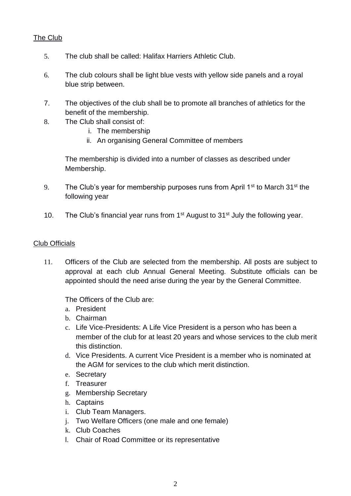## The Club

- 5. The club shall be called: Halifax Harriers Athletic Club.
- 6. The club colours shall be light blue vests with yellow side panels and a royal blue strip between.
- 7. The objectives of the club shall be to promote all branches of athletics for the benefit of the membership.
- 8. The Club shall consist of:
	- i. The membership
	- ii. An organising General Committee of members

The membership is divided into a number of classes as described under Membership.

- 9. The Club's year for membership purposes runs from April 1<sup>st</sup> to March 31<sup>st</sup> the following year
- 10. The Club's financial year runs from  $1<sup>st</sup>$  August to  $31<sup>st</sup>$  July the following year.

#### Club Officials

11. Officers of the Club are selected from the membership. All posts are subject to approval at each club Annual General Meeting. Substitute officials can be appointed should the need arise during the year by the General Committee.

#### The Officers of the Club are:

- a. President
- b. Chairman
- c. Life Vice-Presidents: A Life Vice President is a person who has been a member of the club for at least 20 years and whose services to the club merit this distinction.
- d. Vice Presidents. A current Vice President is a member who is nominated at the AGM for services to the club which merit distinction.
- e. Secretary
- f. Treasurer
- g. Membership Secretary
- h. Captains
- i. Club Team Managers.
- j. Two Welfare Officers (one male and one female)
- k. Club Coaches
- l. Chair of Road Committee or its representative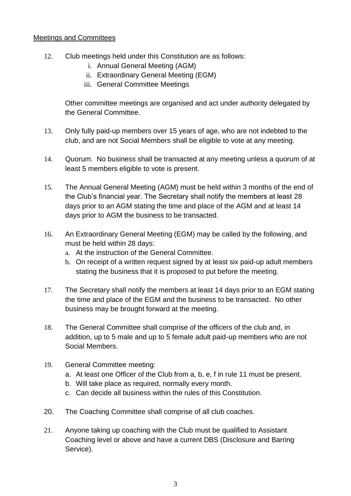#### Meetings and Committees

- 12. Club meetings held under this Constitution are as follows:
	- i. Annual General Meeting (AGM)
	- ii. Extraordinary General Meeting (EGM)
	- iii. General Committee Meetings

Other committee meetings are organised and act under authority delegated by the General Committee.

- 13. Only fully paid-up members over 15 years of age, who are not indebted to the club, and are not Social Members shall be eligible to vote at any meeting.
- 14. Quorum. No business shall be transacted at any meeting unless a quorum of at least 5 members eligible to vote is present.
- 15. The Annual General Meeting (AGM) must be held within 3 months of the end of the Club's financial year. The Secretary shall notify the members at least 28 days prior to an AGM stating the time and place of the AGM and at least 14 days prior to AGM the business to be transacted.
- 16. An Extraordinary General Meeting (EGM) may be called by the following, and must be held within 28 days:
	- a. At the instruction of the General Committee.
	- b. On receipt of a written request signed by at least six paid-up adult members stating the business that it is proposed to put before the meeting.
- 17. The Secretary shall notify the members at least 14 days prior to an EGM stating the time and place of the EGM and the business to be transacted. No other business may be brought forward at the meeting.
- 18. The General Committee shall comprise of the officers of the club and, in addition, up to 5 male and up to 5 female adult paid-up members who are not Social Members.
- 19. General Committee meeting:
	- a. At least one Officer of the Club from a, b, e, f in rule 11 must be present.
	- b. Will take place as required, normally every month.
	- c. Can decide all business within the rules of this Constitution.
- 20. The Coaching Committee shall comprise of all club coaches.
- 21. Anyone taking up coaching with the Club must be qualified to Assistant Coaching level or above and have a current DBS (Disclosure and Barring Service).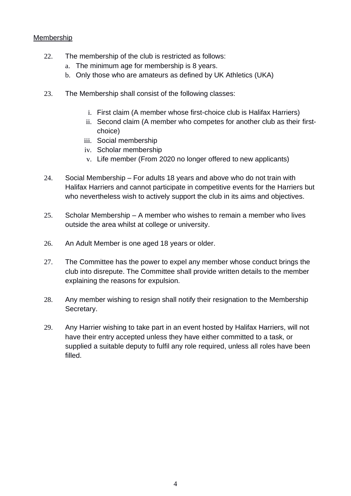## Membership

- 22. The membership of the club is restricted as follows:
	- a. The minimum age for membership is 8 years.
	- b. Only those who are amateurs as defined by UK Athletics (UKA)
- 23. The Membership shall consist of the following classes:
	- i. First claim (A member whose first-choice club is Halifax Harriers)
	- ii. Second claim (A member who competes for another club as their firstchoice)
	- iii. Social membership
	- iv. Scholar membership
	- v. Life member (From 2020 no longer offered to new applicants)
- 24. Social Membership For adults 18 years and above who do not train with Halifax Harriers and cannot participate in competitive events for the Harriers but who nevertheless wish to actively support the club in its aims and objectives.
- 25. Scholar Membership A member who wishes to remain a member who lives outside the area whilst at college or university.
- 26. An Adult Member is one aged 18 years or older.
- 27. The Committee has the power to expel any member whose conduct brings the club into disrepute. The Committee shall provide written details to the member explaining the reasons for expulsion.
- 28. Any member wishing to resign shall notify their resignation to the Membership Secretary.
- 29. Any Harrier wishing to take part in an event hosted by Halifax Harriers, will not have their entry accepted unless they have either committed to a task, or supplied a suitable deputy to fulfil any role required, unless all roles have been filled.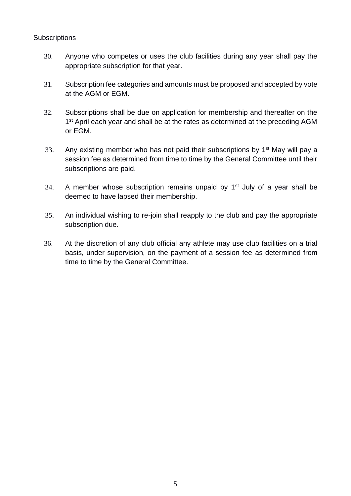#### **Subscriptions**

- 30. Anyone who competes or uses the club facilities during any year shall pay the appropriate subscription for that year.
- 31. Subscription fee categories and amounts must be proposed and accepted by vote at the AGM or EGM.
- 32. Subscriptions shall be due on application for membership and thereafter on the 1<sup>st</sup> April each year and shall be at the rates as determined at the preceding AGM or EGM.
- 33. Any existing member who has not paid their subscriptions by  $1<sup>st</sup>$  May will pay a session fee as determined from time to time by the General Committee until their subscriptions are paid.
- 34. A member whose subscription remains unpaid by  $1<sup>st</sup>$  July of a year shall be deemed to have lapsed their membership.
- 35. An individual wishing to re-join shall reapply to the club and pay the appropriate subscription due.
- 36. At the discretion of any club official any athlete may use club facilities on a trial basis, under supervision, on the payment of a session fee as determined from time to time by the General Committee.